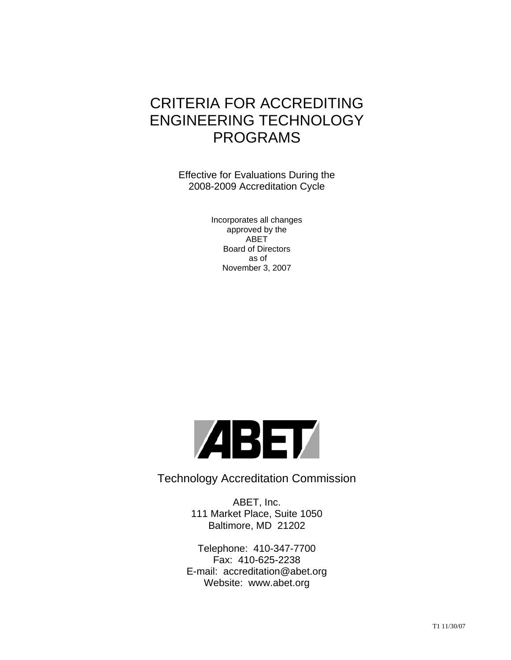# CRITERIA FOR ACCREDITING ENGINEERING TECHNOLOGY PROGRAMS

Effective for Evaluations During the 2008-2009 Accreditation Cycle

> Incorporates all changes approved by the ABET Board of Directors as of November 3, 2007



Technology Accreditation Commission

ABET, Inc. 111 Market Place, Suite 1050 Baltimore, MD 21202

Telephone: 410-347-7700 Fax: 410-625-2238 E-mail: accreditation@abet.org Website: www.abet.org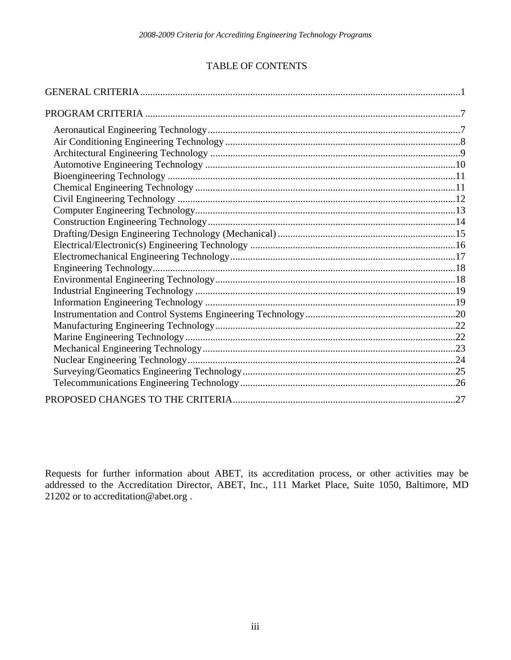# TABLE OF CONTENTS

Requests for further information about ABET, its accreditation process, or other activities may be addressed to the Accreditation Director, ABET, Inc., 111 Market Place, Suite 1050, Baltimore, MD 21202 or to accreditation@abet.org .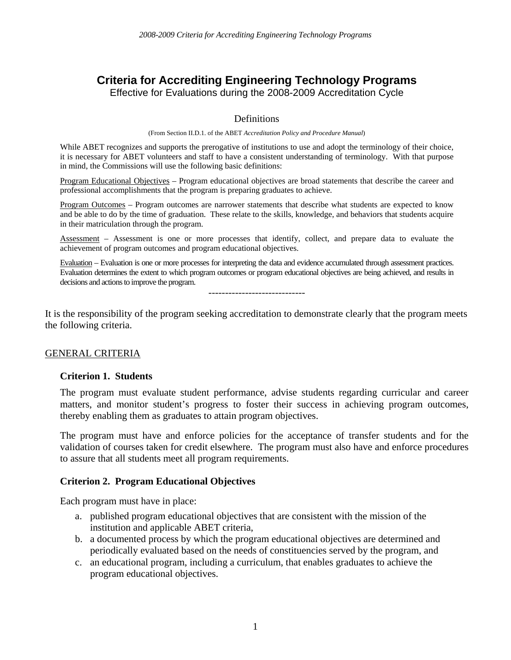# <span id="page-4-0"></span>**Criteria for Accrediting Engineering Technology Programs**

Effective for Evaluations during the 2008-2009 Accreditation Cycle

#### Definitions

(From Section II.D.1. of the ABET *Accreditation Policy and Procedure Manual*)

While ABET recognizes and supports the prerogative of institutions to use and adopt the terminology of their choice, it is necessary for ABET volunteers and staff to have a consistent understanding of terminology. With that purpose in mind, the Commissions will use the following basic definitions:

Program Educational Objectives – Program educational objectives are broad statements that describe the career and professional accomplishments that the program is preparing graduates to achieve.

Program Outcomes – Program outcomes are narrower statements that describe what students are expected to know and be able to do by the time of graduation. These relate to the skills, knowledge, and behaviors that students acquire in their matriculation through the program.

Assessment – Assessment is one or more processes that identify, collect, and prepare data to evaluate the achievement of program outcomes and program educational objectives.

Evaluation – Evaluation is one or more processes for interpreting the data and evidence accumulated through assessment practices. Evaluation determines the extent to which program outcomes or program educational objectives are being achieved, and results in decisions and actions to improve the program.

-----------------------------

It is the responsibility of the program seeking accreditation to demonstrate clearly that the program meets the following criteria.

# GENERAL CRITERIA

## **Criterion 1. Students**

The program must evaluate student performance, advise students regarding curricular and career matters, and monitor student's progress to foster their success in achieving program outcomes, thereby enabling them as graduates to attain program objectives.

The program must have and enforce policies for the acceptance of transfer students and for the validation of courses taken for credit elsewhere. The program must also have and enforce procedures to assure that all students meet all program requirements.

## **Criterion 2. Program Educational Objectives**

Each program must have in place:

- a. published program educational objectives that are consistent with the mission of the institution and applicable ABET criteria,
- b. a documented process by which the program educational objectives are determined and periodically evaluated based on the needs of constituencies served by the program, and
- c. an educational program, including a curriculum, that enables graduates to achieve the program educational objectives.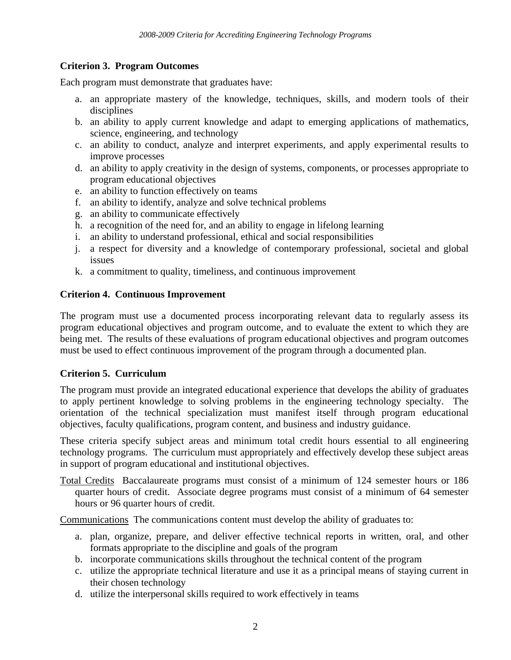# **Criterion 3. Program Outcomes**

Each program must demonstrate that graduates have:

- a. an appropriate mastery of the knowledge, techniques, skills, and modern tools of their disciplines
- b. an ability to apply current knowledge and adapt to emerging applications of mathematics, science, engineering, and technology
- c. an ability to conduct, analyze and interpret experiments, and apply experimental results to improve processes
- d. an ability to apply creativity in the design of systems, components, or processes appropriate to program educational objectives
- e. an ability to function effectively on teams
- f. an ability to identify, analyze and solve technical problems
- g. an ability to communicate effectively
- h. a recognition of the need for, and an ability to engage in lifelong learning
- i. an ability to understand professional, ethical and social responsibilities
- j. a respect for diversity and a knowledge of contemporary professional, societal and global issues
- k. a commitment to quality, timeliness, and continuous improvement

## **Criterion 4. Continuous Improvement**

The program must use a documented process incorporating relevant data to regularly assess its program educational objectives and program outcome, and to evaluate the extent to which they are being met. The results of these evaluations of program educational objectives and program outcomes must be used to effect continuous improvement of the program through a documented plan.

# **Criterion 5. Curriculum**

The program must provide an integrated educational experience that develops the ability of graduates to apply pertinent knowledge to solving problems in the engineering technology specialty. The orientation of the technical specialization must manifest itself through program educational objectives, faculty qualifications, program content, and business and industry guidance.

These criteria specify subject areas and minimum total credit hours essential to all engineering technology programs. The curriculum must appropriately and effectively develop these subject areas in support of program educational and institutional objectives.

Total Credits Baccalaureate programs must consist of a minimum of 124 semester hours or 186 quarter hours of credit. Associate degree programs must consist of a minimum of 64 semester hours or 96 quarter hours of credit.

Communications The communications content must develop the ability of graduates to:

- a. plan, organize, prepare, and deliver effective technical reports in written, oral, and other formats appropriate to the discipline and goals of the program
- b. incorporate communications skills throughout the technical content of the program
- c. utilize the appropriate technical literature and use it as a principal means of staying current in their chosen technology
- d. utilize the interpersonal skills required to work effectively in teams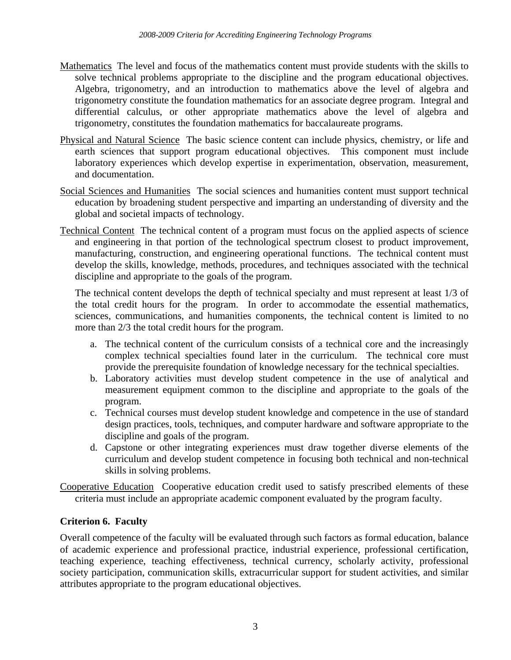- Mathematics The level and focus of the mathematics content must provide students with the skills to solve technical problems appropriate to the discipline and the program educational objectives. Algebra, trigonometry, and an introduction to mathematics above the level of algebra and trigonometry constitute the foundation mathematics for an associate degree program. Integral and differential calculus, or other appropriate mathematics above the level of algebra and trigonometry, constitutes the foundation mathematics for baccalaureate programs.
- Physical and Natural Science The basic science content can include physics, chemistry, or life and earth sciences that support program educational objectives. This component must include laboratory experiences which develop expertise in experimentation, observation, measurement, and documentation.
- Social Sciences and Humanities The social sciences and humanities content must support technical education by broadening student perspective and imparting an understanding of diversity and the global and societal impacts of technology.
- Technical Content The technical content of a program must focus on the applied aspects of science and engineering in that portion of the technological spectrum closest to product improvement, manufacturing, construction, and engineering operational functions. The technical content must develop the skills, knowledge, methods, procedures, and techniques associated with the technical discipline and appropriate to the goals of the program.

The technical content develops the depth of technical specialty and must represent at least 1/3 of the total credit hours for the program. In order to accommodate the essential mathematics, sciences, communications, and humanities components, the technical content is limited to no more than 2/3 the total credit hours for the program.

- a. The technical content of the curriculum consists of a technical core and the increasingly complex technical specialties found later in the curriculum. The technical core must provide the prerequisite foundation of knowledge necessary for the technical specialties.
- b. Laboratory activities must develop student competence in the use of analytical and measurement equipment common to the discipline and appropriate to the goals of the program.
- c. Technical courses must develop student knowledge and competence in the use of standard design practices, tools, techniques, and computer hardware and software appropriate to the discipline and goals of the program.
- d. Capstone or other integrating experiences must draw together diverse elements of the curriculum and develop student competence in focusing both technical and non-technical skills in solving problems.

Cooperative Education Cooperative education credit used to satisfy prescribed elements of these criteria must include an appropriate academic component evaluated by the program faculty.

# **Criterion 6. Faculty**

Overall competence of the faculty will be evaluated through such factors as formal education, balance of academic experience and professional practice, industrial experience, professional certification, teaching experience, teaching effectiveness, technical currency, scholarly activity, professional society participation, communication skills, extracurricular support for student activities, and similar attributes appropriate to the program educational objectives.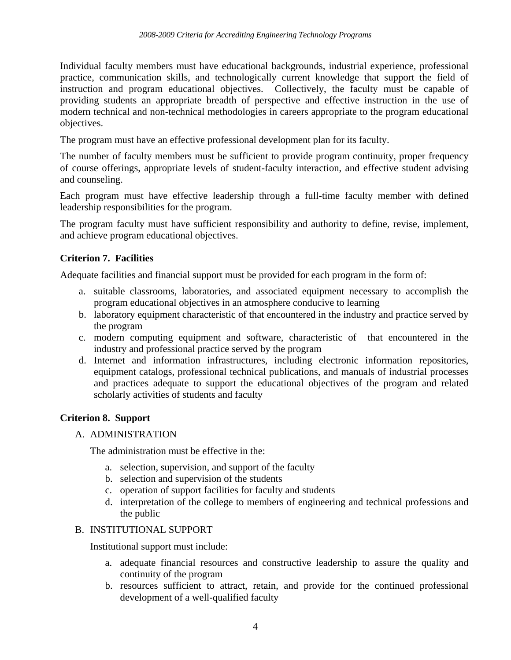Individual faculty members must have educational backgrounds, industrial experience, professional practice, communication skills, and technologically current knowledge that support the field of instruction and program educational objectives. Collectively, the faculty must be capable of providing students an appropriate breadth of perspective and effective instruction in the use of modern technical and non-technical methodologies in careers appropriate to the program educational objectives.

The program must have an effective professional development plan for its faculty.

The number of faculty members must be sufficient to provide program continuity, proper frequency of course offerings, appropriate levels of student-faculty interaction, and effective student advising and counseling.

Each program must have effective leadership through a full-time faculty member with defined leadership responsibilities for the program.

The program faculty must have sufficient responsibility and authority to define, revise, implement, and achieve program educational objectives.

# **Criterion 7. Facilities**

Adequate facilities and financial support must be provided for each program in the form of:

- a. suitable classrooms, laboratories, and associated equipment necessary to accomplish the program educational objectives in an atmosphere conducive to learning
- b. laboratory equipment characteristic of that encountered in the industry and practice served by the program
- c. modern computing equipment and software, characteristic of that encountered in the industry and professional practice served by the program
- d. Internet and information infrastructures, including electronic information repositories, equipment catalogs, professional technical publications, and manuals of industrial processes and practices adequate to support the educational objectives of the program and related scholarly activities of students and faculty

# **Criterion 8. Support**

# A. ADMINISTRATION

The administration must be effective in the:

- a. selection, supervision, and support of the faculty
- b. selection and supervision of the students
- c. operation of support facilities for faculty and students
- d. interpretation of the college to members of engineering and technical professions and the public

# B. INSTITUTIONAL SUPPORT

Institutional support must include:

- a. adequate financial resources and constructive leadership to assure the quality and continuity of the program
- b. resources sufficient to attract, retain, and provide for the continued professional development of a well-qualified faculty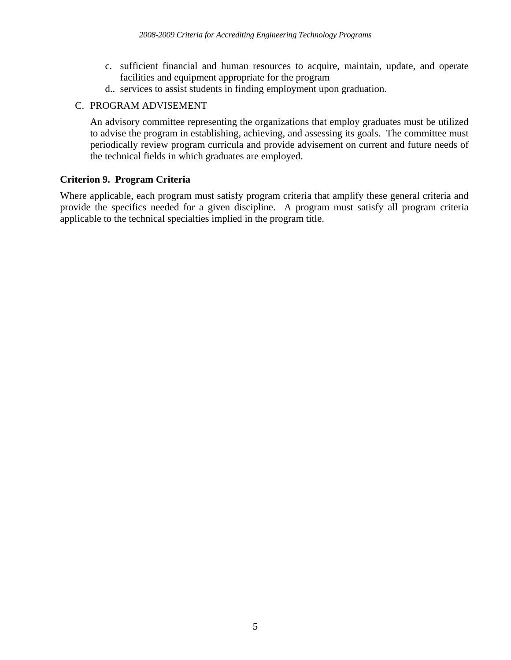- c. sufficient financial and human resources to acquire, maintain, update, and operate facilities and equipment appropriate for the program
- d.. services to assist students in finding employment upon graduation.

# C. PROGRAM ADVISEMENT

An advisory committee representing the organizations that employ graduates must be utilized to advise the program in establishing, achieving, and assessing its goals. The committee must periodically review program curricula and provide advisement on current and future needs of the technical fields in which graduates are employed.

# **Criterion 9. Program Criteria**

Where applicable, each program must satisfy program criteria that amplify these general criteria and provide the specifics needed for a given discipline. A program must satisfy all program criteria applicable to the technical specialties implied in the program title.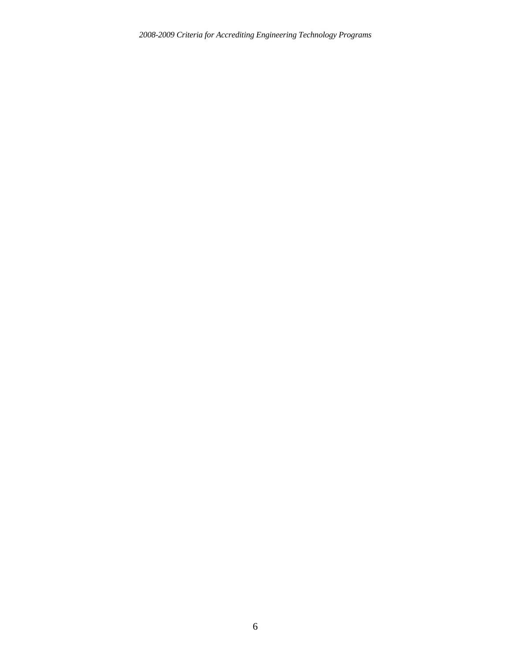*2008-2009 Criteria for Accrediting Engineering Technology Programs*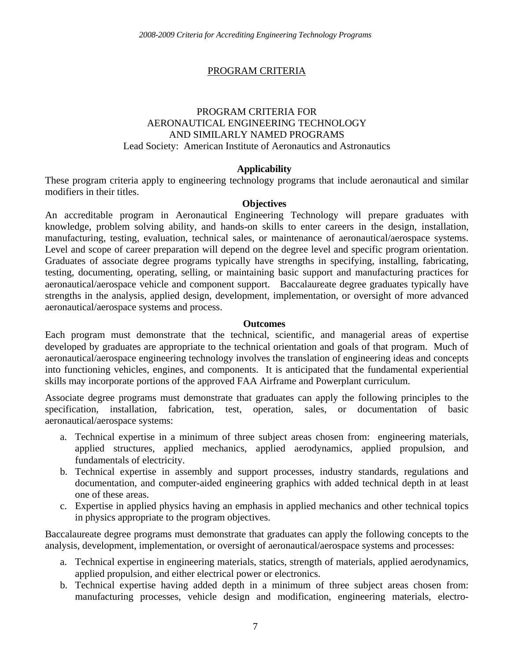# PROGRAM CRITERIA

## <span id="page-10-0"></span>PROGRAM CRITERIA FOR AERONAUTICAL ENGINEERING TECHNOLOGY AND SIMILARLY NAMED PROGRAMS Lead Society: American Institute of Aeronautics and Astronautics

## **Applicability**

These program criteria apply to engineering technology programs that include aeronautical and similar modifiers in their titles.

#### **Objectives**

An accreditable program in Aeronautical Engineering Technology will prepare graduates with knowledge, problem solving ability, and hands-on skills to enter careers in the design, installation, manufacturing, testing, evaluation, technical sales, or maintenance of aeronautical/aerospace systems. Level and scope of career preparation will depend on the degree level and specific program orientation. Graduates of associate degree programs typically have strengths in specifying, installing, fabricating, testing, documenting, operating, selling, or maintaining basic support and manufacturing practices for aeronautical/aerospace vehicle and component support. Baccalaureate degree graduates typically have strengths in the analysis, applied design, development, implementation, or oversight of more advanced aeronautical/aerospace systems and process.

#### **Outcomes**

Each program must demonstrate that the technical, scientific, and managerial areas of expertise developed by graduates are appropriate to the technical orientation and goals of that program. Much of aeronautical/aerospace engineering technology involves the translation of engineering ideas and concepts into functioning vehicles, engines, and components. It is anticipated that the fundamental experiential skills may incorporate portions of the approved FAA Airframe and Powerplant curriculum.

Associate degree programs must demonstrate that graduates can apply the following principles to the specification, installation, fabrication, test, operation, sales, or documentation of basic aeronautical/aerospace systems:

- a. Technical expertise in a minimum of three subject areas chosen from: engineering materials, applied structures, applied mechanics, applied aerodynamics, applied propulsion, and fundamentals of electricity.
- b. Technical expertise in assembly and support processes, industry standards, regulations and documentation, and computer-aided engineering graphics with added technical depth in at least one of these areas.
- c. Expertise in applied physics having an emphasis in applied mechanics and other technical topics in physics appropriate to the program objectives.

Baccalaureate degree programs must demonstrate that graduates can apply the following concepts to the analysis, development, implementation, or oversight of aeronautical/aerospace systems and processes:

- a. Technical expertise in engineering materials, statics, strength of materials, applied aerodynamics, applied propulsion, and either electrical power or electronics.
- b. Technical expertise having added depth in a minimum of three subject areas chosen from: manufacturing processes, vehicle design and modification, engineering materials, electro-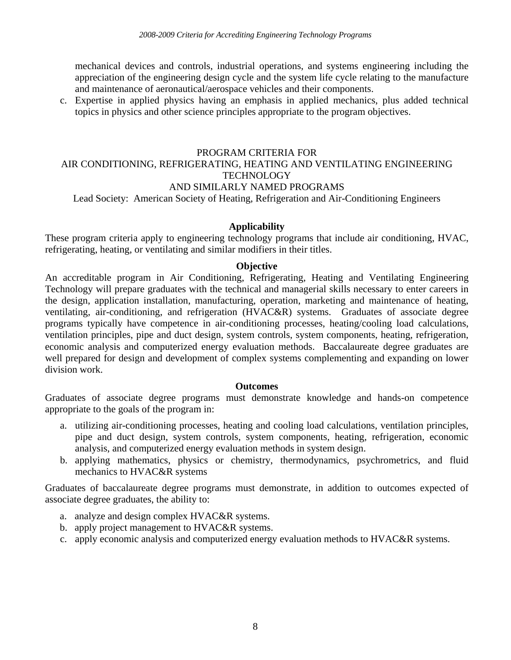<span id="page-11-0"></span>mechanical devices and controls, industrial operations, and systems engineering including the appreciation of the engineering design cycle and the system life cycle relating to the manufacture and maintenance of aeronautical/aerospace vehicles and their components.

c. Expertise in applied physics having an emphasis in applied mechanics, plus added technical topics in physics and other science principles appropriate to the program objectives.

## PROGRAM CRITERIA FOR

# AIR CONDITIONING, REFRIGERATING, HEATING AND VENTILATING ENGINEERING TECHNOLOGY

## AND SIMILARLY NAMED PROGRAMS

Lead Society: American Society of Heating, Refrigeration and Air-Conditioning Engineers

#### **Applicability**

These program criteria apply to engineering technology programs that include air conditioning, HVAC, refrigerating, heating, or ventilating and similar modifiers in their titles.

#### **Objective**

An accreditable program in Air Conditioning, Refrigerating, Heating and Ventilating Engineering Technology will prepare graduates with the technical and managerial skills necessary to enter careers in the design, application installation, manufacturing, operation, marketing and maintenance of heating, ventilating, air-conditioning, and refrigeration (HVAC&R) systems. Graduates of associate degree programs typically have competence in air-conditioning processes, heating/cooling load calculations, ventilation principles, pipe and duct design, system controls, system components, heating, refrigeration, economic analysis and computerized energy evaluation methods. Baccalaureate degree graduates are well prepared for design and development of complex systems complementing and expanding on lower division work.

#### **Outcomes**

Graduates of associate degree programs must demonstrate knowledge and hands-on competence appropriate to the goals of the program in:

- a. utilizing air-conditioning processes, heating and cooling load calculations, ventilation principles, pipe and duct design, system controls, system components, heating, refrigeration, economic analysis, and computerized energy evaluation methods in system design.
- b. applying mathematics, physics or chemistry, thermodynamics, psychrometrics, and fluid mechanics to HVAC&R systems

Graduates of baccalaureate degree programs must demonstrate, in addition to outcomes expected of associate degree graduates, the ability to:

- a. analyze and design complex HVAC&R systems.
- b. apply project management to HVAC&R systems.
- c. apply economic analysis and computerized energy evaluation methods to HVAC&R systems.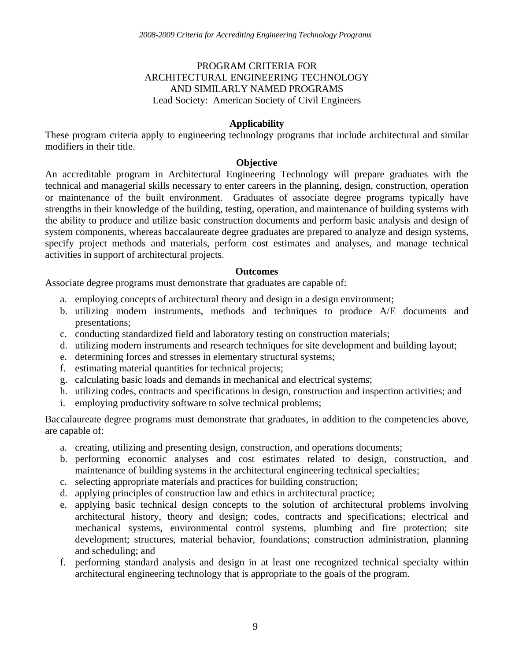# PROGRAM CRITERIA FOR ARCHITECTURAL ENGINEERING TECHNOLOGY AND SIMILARLY NAMED PROGRAMS Lead Society: American Society of Civil Engineers

## **Applicability**

<span id="page-12-0"></span>These program criteria apply to engineering technology programs that include architectural and similar modifiers in their title.

#### **Objective**

An accreditable program in Architectural Engineering Technology will prepare graduates with the technical and managerial skills necessary to enter careers in the planning, design, construction, operation or maintenance of the built environment. Graduates of associate degree programs typically have strengths in their knowledge of the building, testing, operation, and maintenance of building systems with the ability to produce and utilize basic construction documents and perform basic analysis and design of system components, whereas baccalaureate degree graduates are prepared to analyze and design systems, specify project methods and materials, perform cost estimates and analyses, and manage technical activities in support of architectural projects.

#### **Outcomes**

Associate degree programs must demonstrate that graduates are capable of:

- a. employing concepts of architectural theory and design in a design environment;
- b. utilizing modern instruments, methods and techniques to produce A/E documents and presentations;
- c. conducting standardized field and laboratory testing on construction materials;
- d. utilizing modern instruments and research techniques for site development and building layout;
- e. determining forces and stresses in elementary structural systems;
- f. estimating material quantities for technical projects;
- g. calculating basic loads and demands in mechanical and electrical systems;
- h. utilizing codes, contracts and specifications in design, construction and inspection activities; and
- i. employing productivity software to solve technical problems;

Baccalaureate degree programs must demonstrate that graduates, in addition to the competencies above, are capable of:

- a. creating, utilizing and presenting design, construction, and operations documents;
- b. performing economic analyses and cost estimates related to design, construction, and maintenance of building systems in the architectural engineering technical specialties;
- c. selecting appropriate materials and practices for building construction;
- d. applying principles of construction law and ethics in architectural practice;
- e. applying basic technical design concepts to the solution of architectural problems involving architectural history, theory and design; codes, contracts and specifications; electrical and mechanical systems, environmental control systems, plumbing and fire protection; site development; structures, material behavior, foundations; construction administration, planning and scheduling; and
- f. performing standard analysis and design in at least one recognized technical specialty within architectural engineering technology that is appropriate to the goals of the program.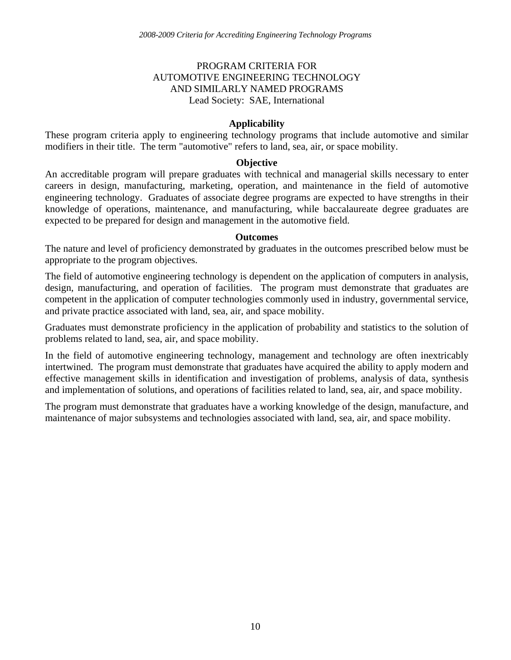## PROGRAM CRITERIA FOR AUTOMOTIVE ENGINEERING TECHNOLOGY AND SIMILARLY NAMED PROGRAMS Lead Society: SAE, International

#### **Applicability**

<span id="page-13-0"></span>These program criteria apply to engineering technology programs that include automotive and similar modifiers in their title. The term "automotive" refers to land, sea, air, or space mobility.

#### **Objective**

An accreditable program will prepare graduates with technical and managerial skills necessary to enter careers in design, manufacturing, marketing, operation, and maintenance in the field of automotive engineering technology. Graduates of associate degree programs are expected to have strengths in their knowledge of operations, maintenance, and manufacturing, while baccalaureate degree graduates are expected to be prepared for design and management in the automotive field.

#### **Outcomes**

The nature and level of proficiency demonstrated by graduates in the outcomes prescribed below must be appropriate to the program objectives.

The field of automotive engineering technology is dependent on the application of computers in analysis, design, manufacturing, and operation of facilities. The program must demonstrate that graduates are competent in the application of computer technologies commonly used in industry, governmental service, and private practice associated with land, sea, air, and space mobility.

Graduates must demonstrate proficiency in the application of probability and statistics to the solution of problems related to land, sea, air, and space mobility.

In the field of automotive engineering technology, management and technology are often inextricably intertwined. The program must demonstrate that graduates have acquired the ability to apply modern and effective management skills in identification and investigation of problems, analysis of data, synthesis and implementation of solutions, and operations of facilities related to land, sea, air, and space mobility.

The program must demonstrate that graduates have a working knowledge of the design, manufacture, and maintenance of major subsystems and technologies associated with land, sea, air, and space mobility.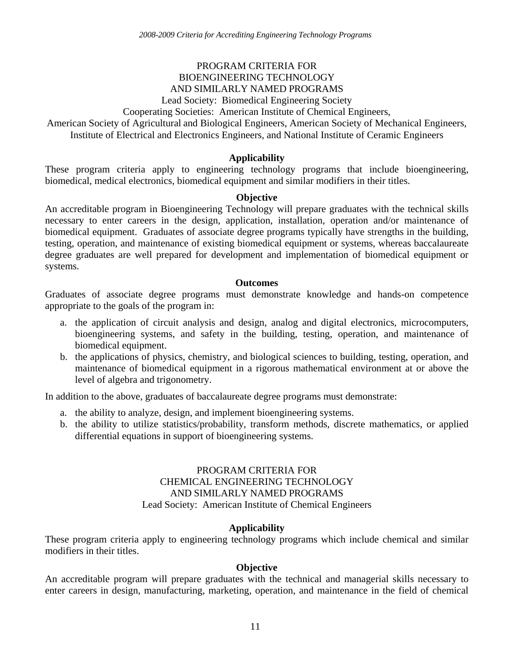## PROGRAM CRITERIA FOR BIOENGINEERING TECHNOLOGY AND SIMILARLY NAMED PROGRAMS Lead Society: Biomedical Engineering Society

Cooperating Societies: American Institute of Chemical Engineers,

<span id="page-14-0"></span>American Society of Agricultural and Biological Engineers, American Society of Mechanical Engineers, Institute of Electrical and Electronics Engineers, and National Institute of Ceramic Engineers

## **Applicability**

These program criteria apply to engineering technology programs that include bioengineering, biomedical, medical electronics, biomedical equipment and similar modifiers in their titles.

#### **Objective**

An accreditable program in Bioengineering Technology will prepare graduates with the technical skills necessary to enter careers in the design, application, installation, operation and/or maintenance of biomedical equipment. Graduates of associate degree programs typically have strengths in the building, testing, operation, and maintenance of existing biomedical equipment or systems, whereas baccalaureate degree graduates are well prepared for development and implementation of biomedical equipment or systems.

#### **Outcomes**

Graduates of associate degree programs must demonstrate knowledge and hands-on competence appropriate to the goals of the program in:

- a. the application of circuit analysis and design, analog and digital electronics, microcomputers, bioengineering systems, and safety in the building, testing, operation, and maintenance of biomedical equipment.
- b. the applications of physics, chemistry, and biological sciences to building, testing, operation, and maintenance of biomedical equipment in a rigorous mathematical environment at or above the level of algebra and trigonometry.

In addition to the above, graduates of baccalaureate degree programs must demonstrate:

- a. the ability to analyze, design, and implement bioengineering systems.
- b. the ability to utilize statistics/probability, transform methods, discrete mathematics, or applied differential equations in support of bioengineering systems.

# PROGRAM CRITERIA FOR CHEMICAL ENGINEERING TECHNOLOGY AND SIMILARLY NAMED PROGRAMS

Lead Society: American Institute of Chemical Engineers

## **Applicability**

These program criteria apply to engineering technology programs which include chemical and similar modifiers in their titles.

#### **Objective**

An accreditable program will prepare graduates with the technical and managerial skills necessary to enter careers in design, manufacturing, marketing, operation, and maintenance in the field of chemical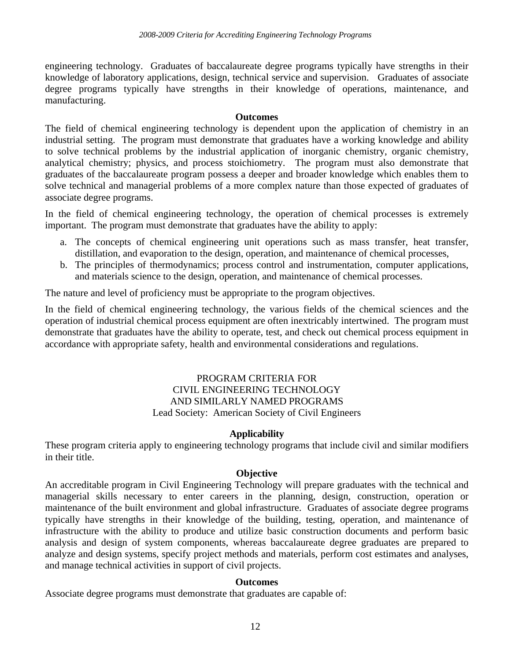<span id="page-15-0"></span>engineering technology. Graduates of baccalaureate degree programs typically have strengths in their knowledge of laboratory applications, design, technical service and supervision. Graduates of associate degree programs typically have strengths in their knowledge of operations, maintenance, and manufacturing.

## **Outcomes**

The field of chemical engineering technology is dependent upon the application of chemistry in an industrial setting. The program must demonstrate that graduates have a working knowledge and ability to solve technical problems by the industrial application of inorganic chemistry, organic chemistry, analytical chemistry; physics, and process stoichiometry. The program must also demonstrate that graduates of the baccalaureate program possess a deeper and broader knowledge which enables them to solve technical and managerial problems of a more complex nature than those expected of graduates of associate degree programs.

In the field of chemical engineering technology, the operation of chemical processes is extremely important. The program must demonstrate that graduates have the ability to apply:

- a. The concepts of chemical engineering unit operations such as mass transfer, heat transfer, distillation, and evaporation to the design, operation, and maintenance of chemical processes,
- b. The principles of thermodynamics; process control and instrumentation, computer applications, and materials science to the design, operation, and maintenance of chemical processes.

The nature and level of proficiency must be appropriate to the program objectives.

In the field of chemical engineering technology, the various fields of the chemical sciences and the operation of industrial chemical process equipment are often inextricably intertwined. The program must demonstrate that graduates have the ability to operate, test, and check out chemical process equipment in accordance with appropriate safety, health and environmental considerations and regulations.

# PROGRAM CRITERIA FOR CIVIL ENGINEERING TECHNOLOGY AND SIMILARLY NAMED PROGRAMS Lead Society: American Society of Civil Engineers

# **Applicability**

These program criteria apply to engineering technology programs that include civil and similar modifiers in their title.

## **Objective**

An accreditable program in Civil Engineering Technology will prepare graduates with the technical and managerial skills necessary to enter careers in the planning, design, construction, operation or maintenance of the built environment and global infrastructure. Graduates of associate degree programs typically have strengths in their knowledge of the building, testing, operation, and maintenance of infrastructure with the ability to produce and utilize basic construction documents and perform basic analysis and design of system components, whereas baccalaureate degree graduates are prepared to analyze and design systems, specify project methods and materials, perform cost estimates and analyses, and manage technical activities in support of civil projects.

## **Outcomes**

Associate degree programs must demonstrate that graduates are capable of: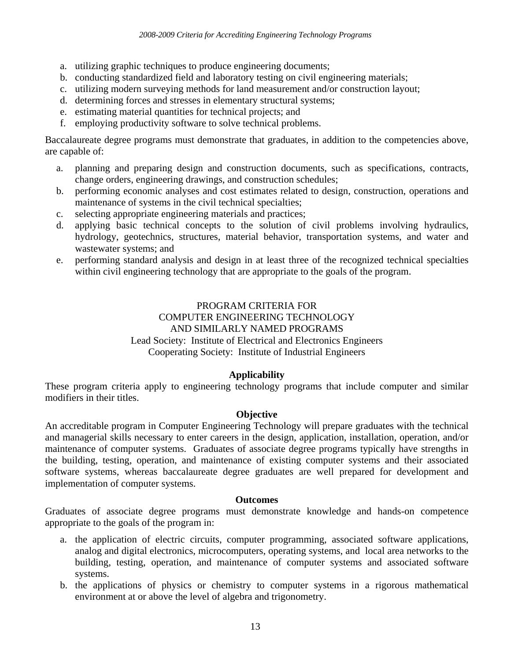- <span id="page-16-0"></span>a. utilizing graphic techniques to produce engineering documents;
- b. conducting standardized field and laboratory testing on civil engineering materials;
- c. utilizing modern surveying methods for land measurement and/or construction layout;
- d. determining forces and stresses in elementary structural systems;
- e. estimating material quantities for technical projects; and
- f. employing productivity software to solve technical problems.

Baccalaureate degree programs must demonstrate that graduates, in addition to the competencies above, are capable of:

- a. planning and preparing design and construction documents, such as specifications, contracts, change orders, engineering drawings, and construction schedules;
- b. performing economic analyses and cost estimates related to design, construction, operations and maintenance of systems in the civil technical specialties;
- c. selecting appropriate engineering materials and practices;
- d. applying basic technical concepts to the solution of civil problems involving hydraulics, hydrology, geotechnics, structures, material behavior, transportation systems, and water and wastewater systems; and
- e. performing standard analysis and design in at least three of the recognized technical specialties within civil engineering technology that are appropriate to the goals of the program.

## PROGRAM CRITERIA FOR COMPUTER ENGINEERING TECHNOLOGY AND SIMILARLY NAMED PROGRAMS Lead Society: Institute of Electrical and Electronics Engineers Cooperating Society: Institute of Industrial Engineers

## **Applicability**

These program criteria apply to engineering technology programs that include computer and similar modifiers in their titles.

## **Objective**

An accreditable program in Computer Engineering Technology will prepare graduates with the technical and managerial skills necessary to enter careers in the design, application, installation, operation, and/or maintenance of computer systems. Graduates of associate degree programs typically have strengths in the building, testing, operation, and maintenance of existing computer systems and their associated software systems, whereas baccalaureate degree graduates are well prepared for development and implementation of computer systems.

## **Outcomes**

Graduates of associate degree programs must demonstrate knowledge and hands-on competence appropriate to the goals of the program in:

- a. the application of electric circuits, computer programming, associated software applications, analog and digital electronics, microcomputers, operating systems, and local area networks to the building, testing, operation, and maintenance of computer systems and associated software systems.
- b. the applications of physics or chemistry to computer systems in a rigorous mathematical environment at or above the level of algebra and trigonometry.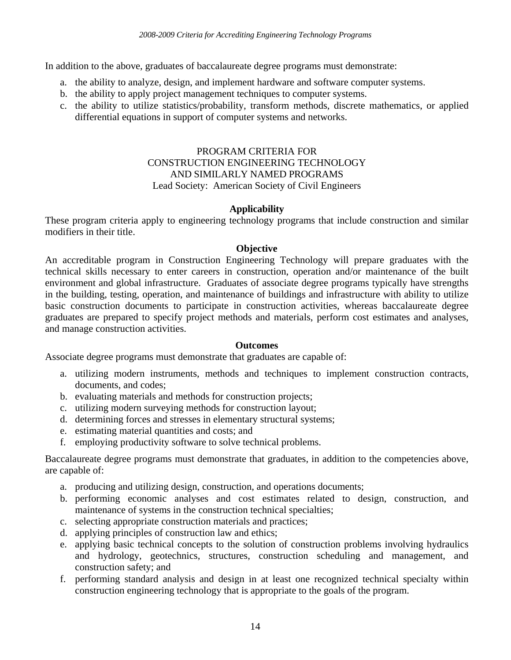<span id="page-17-0"></span>In addition to the above, graduates of baccalaureate degree programs must demonstrate:

- a. the ability to analyze, design, and implement hardware and software computer systems.
- b. the ability to apply project management techniques to computer systems.
- c. the ability to utilize statistics/probability, transform methods, discrete mathematics, or applied differential equations in support of computer systems and networks.

## PROGRAM CRITERIA FOR CONSTRUCTION ENGINEERING TECHNOLOGY AND SIMILARLY NAMED PROGRAMS Lead Society: American Society of Civil Engineers

# **Applicability**

These program criteria apply to engineering technology programs that include construction and similar modifiers in their title.

## **Objective**

An accreditable program in Construction Engineering Technology will prepare graduates with the technical skills necessary to enter careers in construction, operation and/or maintenance of the built environment and global infrastructure. Graduates of associate degree programs typically have strengths in the building, testing, operation, and maintenance of buildings and infrastructure with ability to utilize basic construction documents to participate in construction activities, whereas baccalaureate degree graduates are prepared to specify project methods and materials, perform cost estimates and analyses, and manage construction activities.

## **Outcomes**

Associate degree programs must demonstrate that graduates are capable of:

- a. utilizing modern instruments, methods and techniques to implement construction contracts, documents, and codes;
- b. evaluating materials and methods for construction projects;
- c. utilizing modern surveying methods for construction layout;
- d. determining forces and stresses in elementary structural systems;
- e. estimating material quantities and costs; and
- f. employing productivity software to solve technical problems.

Baccalaureate degree programs must demonstrate that graduates, in addition to the competencies above, are capable of:

- a. producing and utilizing design, construction, and operations documents;
- b. performing economic analyses and cost estimates related to design, construction, and maintenance of systems in the construction technical specialties;
- c. selecting appropriate construction materials and practices;
- d. applying principles of construction law and ethics;
- e. applying basic technical concepts to the solution of construction problems involving hydraulics and hydrology, geotechnics, structures, construction scheduling and management, and construction safety; and
- f. performing standard analysis and design in at least one recognized technical specialty within construction engineering technology that is appropriate to the goals of the program.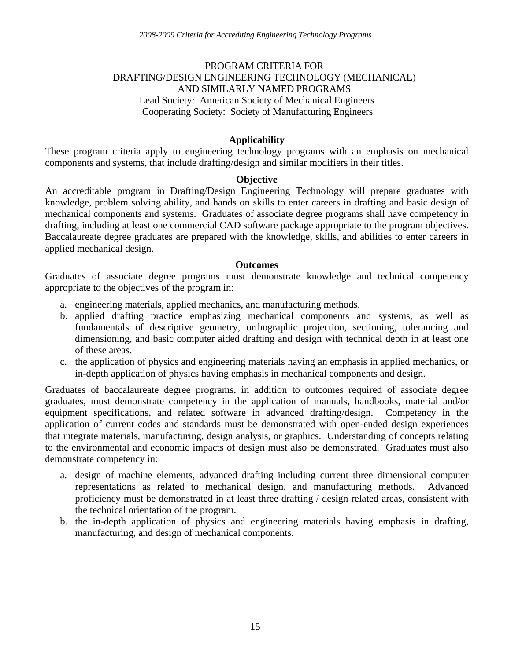# <span id="page-18-0"></span>PROGRAM CRITERIA FOR DRAFTING/DESIGN ENGINEERING TECHNOLOGY (MECHANICAL) AND SIMILARLY NAMED PROGRAMS Lead Society: American Society of Mechanical Engineers Cooperating Society: Society of Manufacturing Engineers

## **Applicability**

These program criteria apply to engineering technology programs with an emphasis on mechanical components and systems, that include drafting/design and similar modifiers in their titles.

## **Objective**

An accreditable program in Drafting/Design Engineering Technology will prepare graduates with knowledge, problem solving ability, and hands on skills to enter careers in drafting and basic design of mechanical components and systems. Graduates of associate degree programs shall have competency in drafting, including at least one commercial CAD software package appropriate to the program objectives. Baccalaureate degree graduates are prepared with the knowledge, skills, and abilities to enter careers in applied mechanical design.

#### **Outcomes**

Graduates of associate degree programs must demonstrate knowledge and technical competency appropriate to the objectives of the program in:

- a. engineering materials, applied mechanics, and manufacturing methods.
- b. applied drafting practice emphasizing mechanical components and systems, as well as fundamentals of descriptive geometry, orthographic projection, sectioning, tolerancing and dimensioning, and basic computer aided drafting and design with technical depth in at least one of these areas.
- c. the application of physics and engineering materials having an emphasis in applied mechanics, or in-depth application of physics having emphasis in mechanical components and design.

Graduates of baccalaureate degree programs, in addition to outcomes required of associate degree graduates, must demonstrate competency in the application of manuals, handbooks, material and/or equipment specifications, and related software in advanced drafting/design. Competency in the application of current codes and standards must be demonstrated with open-ended design experiences that integrate materials, manufacturing, design analysis, or graphics. Understanding of concepts relating to the environmental and economic impacts of design must also be demonstrated. Graduates must also demonstrate competency in:

- a. design of machine elements, advanced drafting including current three dimensional computer representations as related to mechanical design, and manufacturing methods. Advanced proficiency must be demonstrated in at least three drafting / design related areas, consistent with the technical orientation of the program.
- b. the in-depth application of physics and engineering materials having emphasis in drafting, manufacturing, and design of mechanical components.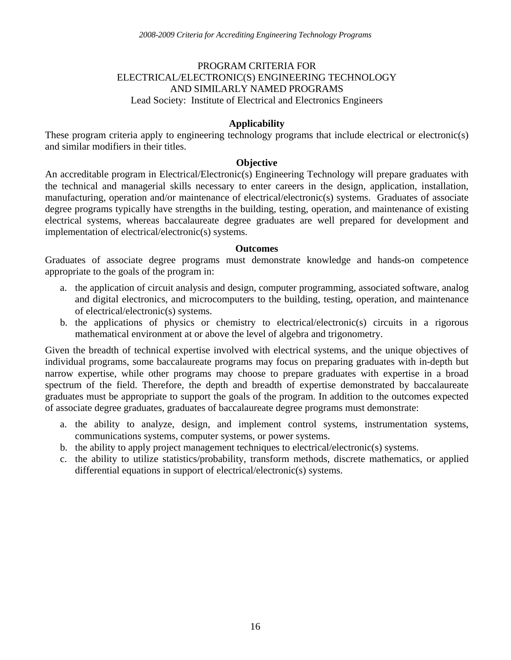## <span id="page-19-0"></span>PROGRAM CRITERIA FOR ELECTRICAL/ELECTRONIC(S) ENGINEERING TECHNOLOGY AND SIMILARLY NAMED PROGRAMS Lead Society: Institute of Electrical and Electronics Engineers

## **Applicability**

These program criteria apply to engineering technology programs that include electrical or electronic(s) and similar modifiers in their titles.

## **Objective**

An accreditable program in Electrical/Electronic(s) Engineering Technology will prepare graduates with the technical and managerial skills necessary to enter careers in the design, application, installation, manufacturing, operation and/or maintenance of electrical/electronic(s) systems. Graduates of associate degree programs typically have strengths in the building, testing, operation, and maintenance of existing electrical systems, whereas baccalaureate degree graduates are well prepared for development and implementation of electrical/electronic(s) systems.

#### **Outcomes**

Graduates of associate degree programs must demonstrate knowledge and hands-on competence appropriate to the goals of the program in:

- a. the application of circuit analysis and design, computer programming, associated software, analog and digital electronics, and microcomputers to the building, testing, operation, and maintenance of electrical/electronic(s) systems.
- b. the applications of physics or chemistry to electrical/electronic(s) circuits in a rigorous mathematical environment at or above the level of algebra and trigonometry.

Given the breadth of technical expertise involved with electrical systems, and the unique objectives of individual programs, some baccalaureate programs may focus on preparing graduates with in-depth but narrow expertise, while other programs may choose to prepare graduates with expertise in a broad spectrum of the field. Therefore, the depth and breadth of expertise demonstrated by baccalaureate graduates must be appropriate to support the goals of the program. In addition to the outcomes expected of associate degree graduates, graduates of baccalaureate degree programs must demonstrate:

- a. the ability to analyze, design, and implement control systems, instrumentation systems, communications systems, computer systems, or power systems.
- b. the ability to apply project management techniques to electrical/electronic(s) systems.
- c. the ability to utilize statistics/probability, transform methods, discrete mathematics, or applied differential equations in support of electrical/electronic(s) systems.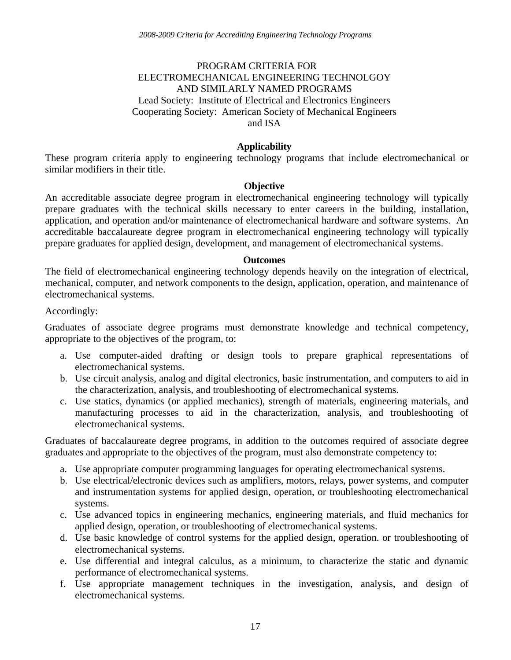## <span id="page-20-0"></span>PROGRAM CRITERIA FOR ELECTROMECHANICAL ENGINEERING TECHNOLGOY AND SIMILARLY NAMED PROGRAMS Lead Society: Institute of Electrical and Electronics Engineers Cooperating Society: American Society of Mechanical Engineers and ISA

## **Applicability**

These program criteria apply to engineering technology programs that include electromechanical or similar modifiers in their title.

#### **Objective**

An accreditable associate degree program in electromechanical engineering technology will typically prepare graduates with the technical skills necessary to enter careers in the building, installation, application, and operation and/or maintenance of electromechanical hardware and software systems. An accreditable baccalaureate degree program in electromechanical engineering technology will typically prepare graduates for applied design, development, and management of electromechanical systems.

#### **Outcomes**

The field of electromechanical engineering technology depends heavily on the integration of electrical, mechanical, computer, and network components to the design, application, operation, and maintenance of electromechanical systems.

#### Accordingly:

Graduates of associate degree programs must demonstrate knowledge and technical competency, appropriate to the objectives of the program, to:

- a. Use computer-aided drafting or design tools to prepare graphical representations of electromechanical systems.
- b. Use circuit analysis, analog and digital electronics, basic instrumentation, and computers to aid in the characterization, analysis, and troubleshooting of electromechanical systems.
- c. Use statics, dynamics (or applied mechanics), strength of materials, engineering materials, and manufacturing processes to aid in the characterization, analysis, and troubleshooting of electromechanical systems.

Graduates of baccalaureate degree programs, in addition to the outcomes required of associate degree graduates and appropriate to the objectives of the program, must also demonstrate competency to:

- a. Use appropriate computer programming languages for operating electromechanical systems.
- b. Use electrical/electronic devices such as amplifiers, motors, relays, power systems, and computer and instrumentation systems for applied design, operation, or troubleshooting electromechanical systems.
- c. Use advanced topics in engineering mechanics, engineering materials, and fluid mechanics for applied design, operation, or troubleshooting of electromechanical systems.
- d. Use basic knowledge of control systems for the applied design, operation. or troubleshooting of electromechanical systems.
- e. Use differential and integral calculus, as a minimum, to characterize the static and dynamic performance of electromechanical systems.
- f. Use appropriate management techniques in the investigation, analysis, and design of electromechanical systems.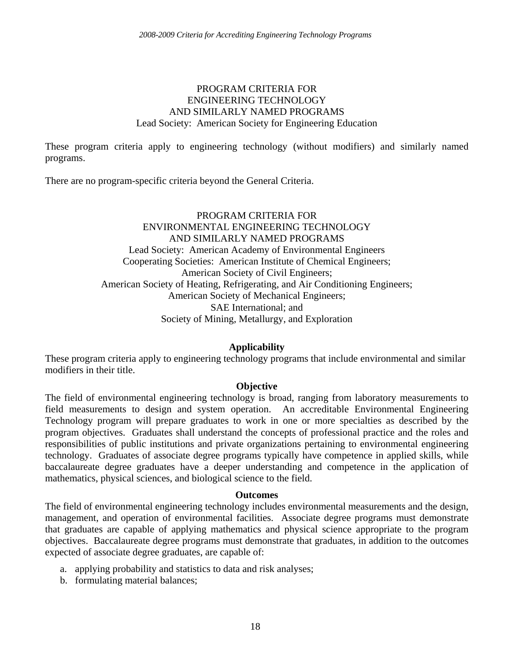## PROGRAM CRITERIA FOR ENGINEERING TECHNOLOGY AND SIMILARLY NAMED PROGRAMS Lead Society: American Society for Engineering Education

<span id="page-21-0"></span>These program criteria apply to engineering technology (without modifiers) and similarly named programs.

There are no program-specific criteria beyond the General Criteria.

# PROGRAM CRITERIA FOR ENVIRONMENTAL ENGINEERING TECHNOLOGY AND SIMILARLY NAMED PROGRAMS Lead Society: American Academy of Environmental Engineers Cooperating Societies: American Institute of Chemical Engineers; American Society of Civil Engineers; American Society of Heating, Refrigerating, and Air Conditioning Engineers; American Society of Mechanical Engineers; SAE International; and Society of Mining, Metallurgy, and Exploration

# **Applicability**

These program criteria apply to engineering technology programs that include environmental and similar modifiers in their title.

# **Objective**

The field of environmental engineering technology is broad, ranging from laboratory measurements to field measurements to design and system operation. An accreditable Environmental Engineering Technology program will prepare graduates to work in one or more specialties as described by the program objectives. Graduates shall understand the concepts of professional practice and the roles and responsibilities of public institutions and private organizations pertaining to environmental engineering technology. Graduates of associate degree programs typically have competence in applied skills, while baccalaureate degree graduates have a deeper understanding and competence in the application of mathematics, physical sciences, and biological science to the field.

## **Outcomes**

The field of environmental engineering technology includes environmental measurements and the design, management, and operation of environmental facilities. Associate degree programs must demonstrate that graduates are capable of applying mathematics and physical science appropriate to the program objectives. Baccalaureate degree programs must demonstrate that graduates, in addition to the outcomes expected of associate degree graduates, are capable of:

- a. applying probability and statistics to data and risk analyses;
- b. formulating material balances;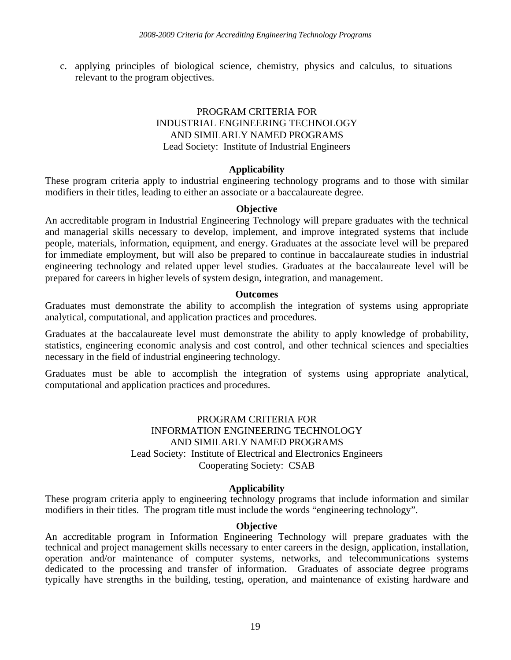<span id="page-22-0"></span>c. applying principles of biological science, chemistry, physics and calculus, to situations relevant to the program objectives.

# PROGRAM CRITERIA FOR INDUSTRIAL ENGINEERING TECHNOLOGY AND SIMILARLY NAMED PROGRAMS Lead Society: Institute of Industrial Engineers

## **Applicability**

These program criteria apply to industrial engineering technology programs and to those with similar modifiers in their titles, leading to either an associate or a baccalaureate degree.

## **Objective**

An accreditable program in Industrial Engineering Technology will prepare graduates with the technical and managerial skills necessary to develop, implement, and improve integrated systems that include people, materials, information, equipment, and energy. Graduates at the associate level will be prepared for immediate employment, but will also be prepared to continue in baccalaureate studies in industrial engineering technology and related upper level studies. Graduates at the baccalaureate level will be prepared for careers in higher levels of system design, integration, and management.

#### **Outcomes**

Graduates must demonstrate the ability to accomplish the integration of systems using appropriate analytical, computational, and application practices and procedures.

Graduates at the baccalaureate level must demonstrate the ability to apply knowledge of probability, statistics, engineering economic analysis and cost control, and other technical sciences and specialties necessary in the field of industrial engineering technology.

Graduates must be able to accomplish the integration of systems using appropriate analytical, computational and application practices and procedures.

## PROGRAM CRITERIA FOR INFORMATION ENGINEERING TECHNOLOGY AND SIMILARLY NAMED PROGRAMS Lead Society: Institute of Electrical and Electronics Engineers Cooperating Society: CSAB

## **Applicability**

These program criteria apply to engineering technology programs that include information and similar modifiers in their titles. The program title must include the words "engineering technology".

#### **Objective**

An accreditable program in Information Engineering Technology will prepare graduates with the technical and project management skills necessary to enter careers in the design, application, installation, operation and/or maintenance of computer systems, networks, and telecommunications systems dedicated to the processing and transfer of information. Graduates of associate degree programs typically have strengths in the building, testing, operation, and maintenance of existing hardware and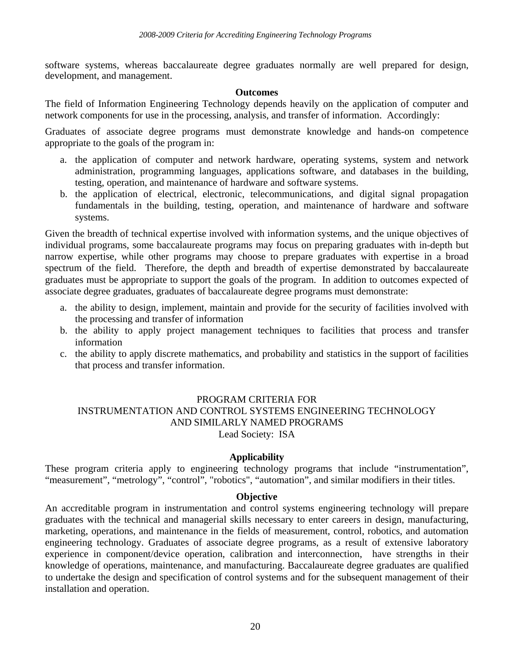<span id="page-23-0"></span>software systems, whereas baccalaureate degree graduates normally are well prepared for design, development, and management.

## **Outcomes**

The field of Information Engineering Technology depends heavily on the application of computer and network components for use in the processing, analysis, and transfer of information. Accordingly:

Graduates of associate degree programs must demonstrate knowledge and hands-on competence appropriate to the goals of the program in:

- a. the application of computer and network hardware, operating systems, system and network administration, programming languages, applications software, and databases in the building, testing, operation, and maintenance of hardware and software systems.
- b. the application of electrical, electronic, telecommunications, and digital signal propagation fundamentals in the building, testing, operation, and maintenance of hardware and software systems.

Given the breadth of technical expertise involved with information systems, and the unique objectives of individual programs, some baccalaureate programs may focus on preparing graduates with in-depth but narrow expertise, while other programs may choose to prepare graduates with expertise in a broad spectrum of the field. Therefore, the depth and breadth of expertise demonstrated by baccalaureate graduates must be appropriate to support the goals of the program. In addition to outcomes expected of associate degree graduates, graduates of baccalaureate degree programs must demonstrate:

- a. the ability to design, implement, maintain and provide for the security of facilities involved with the processing and transfer of information
- b. the ability to apply project management techniques to facilities that process and transfer information
- c. the ability to apply discrete mathematics, and probability and statistics in the support of facilities that process and transfer information.

# PROGRAM CRITERIA FOR

INSTRUMENTATION AND CONTROL SYSTEMS ENGINEERING TECHNOLOGY AND SIMILARLY NAMED PROGRAMS Lead Society: ISA

## **Applicability**

These program criteria apply to engineering technology programs that include "instrumentation", "measurement", "metrology", "control", "robotics", "automation", and similar modifiers in their titles.

## **Objective**

An accreditable program in instrumentation and control systems engineering technology will prepare graduates with the technical and managerial skills necessary to enter careers in design, manufacturing, marketing, operations, and maintenance in the fields of measurement, control, robotics, and automation engineering technology. Graduates of associate degree programs, as a result of extensive laboratory experience in component/device operation, calibration and interconnection, have strengths in their knowledge of operations, maintenance, and manufacturing. Baccalaureate degree graduates are qualified to undertake the design and specification of control systems and for the subsequent management of their installation and operation.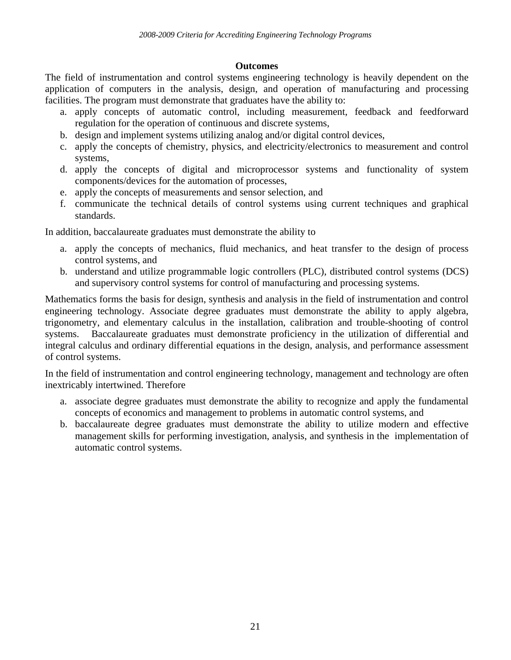# **Outcomes**

The field of instrumentation and control systems engineering technology is heavily dependent on the application of computers in the analysis, design, and operation of manufacturing and processing facilities. The program must demonstrate that graduates have the ability to:

- a. apply concepts of automatic control, including measurement, feedback and feedforward regulation for the operation of continuous and discrete systems,
- b. design and implement systems utilizing analog and/or digital control devices,
- c. apply the concepts of chemistry, physics, and electricity/electronics to measurement and control systems,
- d. apply the concepts of digital and microprocessor systems and functionality of system components/devices for the automation of processes,
- e. apply the concepts of measurements and sensor selection, and
- f. communicate the technical details of control systems using current techniques and graphical standards.

In addition, baccalaureate graduates must demonstrate the ability to

- a. apply the concepts of mechanics, fluid mechanics, and heat transfer to the design of process control systems, and
- b. understand and utilize programmable logic controllers (PLC), distributed control systems (DCS) and supervisory control systems for control of manufacturing and processing systems.

Mathematics forms the basis for design, synthesis and analysis in the field of instrumentation and control engineering technology. Associate degree graduates must demonstrate the ability to apply algebra, trigonometry, and elementary calculus in the installation, calibration and trouble-shooting of control systems. Baccalaureate graduates must demonstrate proficiency in the utilization of differential and integral calculus and ordinary differential equations in the design, analysis, and performance assessment of control systems.

In the field of instrumentation and control engineering technology, management and technology are often inextricably intertwined. Therefore

- a. associate degree graduates must demonstrate the ability to recognize and apply the fundamental concepts of economics and management to problems in automatic control systems, and
- b. baccalaureate degree graduates must demonstrate the ability to utilize modern and effective management skills for performing investigation, analysis, and synthesis in the implementation of automatic control systems.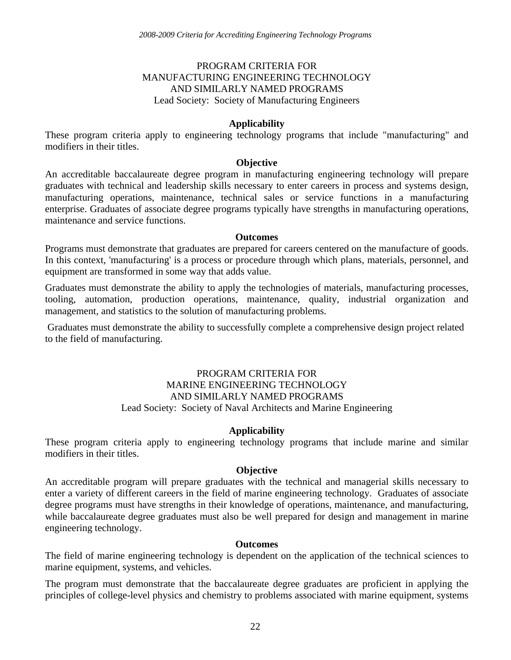## PROGRAM CRITERIA FOR MANUFACTURING ENGINEERING TECHNOLOGY AND SIMILARLY NAMED PROGRAMS Lead Society: Society of Manufacturing Engineers

## **Applicability**

<span id="page-25-0"></span>These program criteria apply to engineering technology programs that include "manufacturing" and modifiers in their titles.

#### **Objective**

An accreditable baccalaureate degree program in manufacturing engineering technology will prepare graduates with technical and leadership skills necessary to enter careers in process and systems design, manufacturing operations, maintenance, technical sales or service functions in a manufacturing enterprise. Graduates of associate degree programs typically have strengths in manufacturing operations, maintenance and service functions.

#### **Outcomes**

Programs must demonstrate that graduates are prepared for careers centered on the manufacture of goods. In this context, 'manufacturing' is a process or procedure through which plans, materials, personnel, and equipment are transformed in some way that adds value.

Graduates must demonstrate the ability to apply the technologies of materials, manufacturing processes, tooling, automation, production operations, maintenance, quality, industrial organization and management, and statistics to the solution of manufacturing problems.

 Graduates must demonstrate the ability to successfully complete a comprehensive design project related to the field of manufacturing.

# PROGRAM CRITERIA FOR MARINE ENGINEERING TECHNOLOGY AND SIMILARLY NAMED PROGRAMS

Lead Society: Society of Naval Architects and Marine Engineering

## **Applicability**

These program criteria apply to engineering technology programs that include marine and similar modifiers in their titles.

## **Objective**

An accreditable program will prepare graduates with the technical and managerial skills necessary to enter a variety of different careers in the field of marine engineering technology. Graduates of associate degree programs must have strengths in their knowledge of operations, maintenance, and manufacturing, while baccalaureate degree graduates must also be well prepared for design and management in marine engineering technology.

#### **Outcomes**

The field of marine engineering technology is dependent on the application of the technical sciences to marine equipment, systems, and vehicles.

The program must demonstrate that the baccalaureate degree graduates are proficient in applying the principles of college-level physics and chemistry to problems associated with marine equipment, systems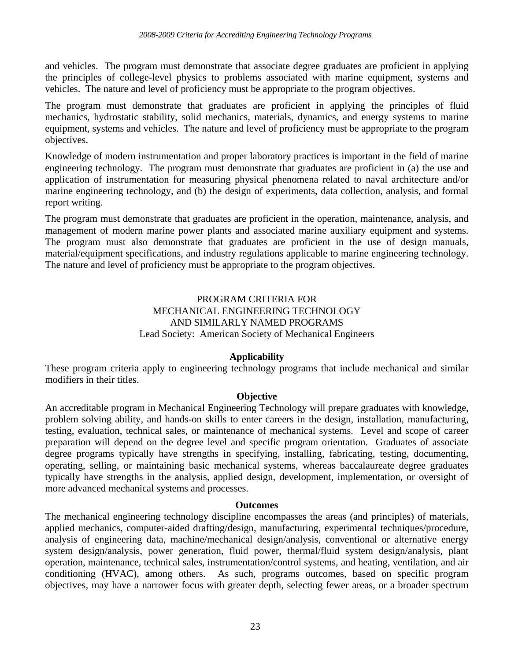<span id="page-26-0"></span>and vehicles. The program must demonstrate that associate degree graduates are proficient in applying the principles of college-level physics to problems associated with marine equipment, systems and vehicles. The nature and level of proficiency must be appropriate to the program objectives.

The program must demonstrate that graduates are proficient in applying the principles of fluid mechanics, hydrostatic stability, solid mechanics, materials, dynamics, and energy systems to marine equipment, systems and vehicles. The nature and level of proficiency must be appropriate to the program objectives.

Knowledge of modern instrumentation and proper laboratory practices is important in the field of marine engineering technology. The program must demonstrate that graduates are proficient in (a) the use and application of instrumentation for measuring physical phenomena related to naval architecture and/or marine engineering technology, and (b) the design of experiments, data collection, analysis, and formal report writing.

The program must demonstrate that graduates are proficient in the operation, maintenance, analysis, and management of modern marine power plants and associated marine auxiliary equipment and systems. The program must also demonstrate that graduates are proficient in the use of design manuals, material/equipment specifications, and industry regulations applicable to marine engineering technology. The nature and level of proficiency must be appropriate to the program objectives.

## PROGRAM CRITERIA FOR MECHANICAL ENGINEERING TECHNOLOGY AND SIMILARLY NAMED PROGRAMS Lead Society: American Society of Mechanical Engineers

# **Applicability**

These program criteria apply to engineering technology programs that include mechanical and similar modifiers in their titles.

## **Objective**

An accreditable program in Mechanical Engineering Technology will prepare graduates with knowledge, problem solving ability, and hands-on skills to enter careers in the design, installation, manufacturing, testing, evaluation, technical sales, or maintenance of mechanical systems. Level and scope of career preparation will depend on the degree level and specific program orientation. Graduates of associate degree programs typically have strengths in specifying, installing, fabricating, testing, documenting, operating, selling, or maintaining basic mechanical systems, whereas baccalaureate degree graduates typically have strengths in the analysis, applied design, development, implementation, or oversight of more advanced mechanical systems and processes.

#### **Outcomes**

The mechanical engineering technology discipline encompasses the areas (and principles) of materials, applied mechanics, computer-aided drafting/design, manufacturing, experimental techniques/procedure, analysis of engineering data, machine/mechanical design/analysis, conventional or alternative energy system design/analysis, power generation, fluid power, thermal/fluid system design/analysis, plant operation, maintenance, technical sales, instrumentation/control systems, and heating, ventilation, and air conditioning (HVAC), among others. As such, programs outcomes, based on specific program objectives, may have a narrower focus with greater depth, selecting fewer areas, or a broader spectrum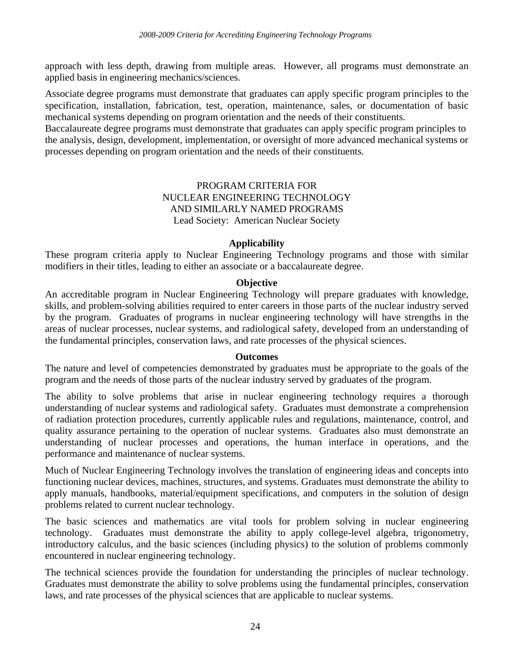<span id="page-27-0"></span>approach with less depth, drawing from multiple areas. However, all programs must demonstrate an applied basis in engineering mechanics/sciences.

Associate degree programs must demonstrate that graduates can apply specific program principles to the specification, installation, fabrication, test, operation, maintenance, sales, or documentation of basic mechanical systems depending on program orientation and the needs of their constituents.

Baccalaureate degree programs must demonstrate that graduates can apply specific program principles to the analysis, design, development, implementation, or oversight of more advanced mechanical systems or processes depending on program orientation and the needs of their constituents.

# PROGRAM CRITERIA FOR NUCLEAR ENGINEERING TECHNOLOGY AND SIMILARLY NAMED PROGRAMS Lead Society: American Nuclear Society

## **Applicability**

These program criteria apply to Nuclear Engineering Technology programs and those with similar modifiers in their titles, leading to either an associate or a baccalaureate degree.

## **Objective**

An accreditable program in Nuclear Engineering Technology will prepare graduates with knowledge, skills, and problem-solving abilities required to enter careers in those parts of the nuclear industry served by the program. Graduates of programs in nuclear engineering technology will have strengths in the areas of nuclear processes, nuclear systems, and radiological safety, developed from an understanding of the fundamental principles, conservation laws, and rate processes of the physical sciences.

## **Outcomes**

The nature and level of competencies demonstrated by graduates must be appropriate to the goals of the program and the needs of those parts of the nuclear industry served by graduates of the program.

The ability to solve problems that arise in nuclear engineering technology requires a thorough understanding of nuclear systems and radiological safety. Graduates must demonstrate a comprehension of radiation protection procedures, currently applicable rules and regulations, maintenance, control, and quality assurance pertaining to the operation of nuclear systems. Graduates also must demonstrate an understanding of nuclear processes and operations, the human interface in operations, and the performance and maintenance of nuclear systems.

Much of Nuclear Engineering Technology involves the translation of engineering ideas and concepts into functioning nuclear devices, machines, structures, and systems. Graduates must demonstrate the ability to apply manuals, handbooks, material/equipment specifications, and computers in the solution of design problems related to current nuclear technology.

The basic sciences and mathematics are vital tools for problem solving in nuclear engineering technology. Graduates must demonstrate the ability to apply college-level algebra, trigonometry, introductory calculus, and the basic sciences (including physics) to the solution of problems commonly encountered in nuclear engineering technology.

The technical sciences provide the foundation for understanding the principles of nuclear technology. Graduates must demonstrate the ability to solve problems using the fundamental principles, conservation laws, and rate processes of the physical sciences that are applicable to nuclear systems.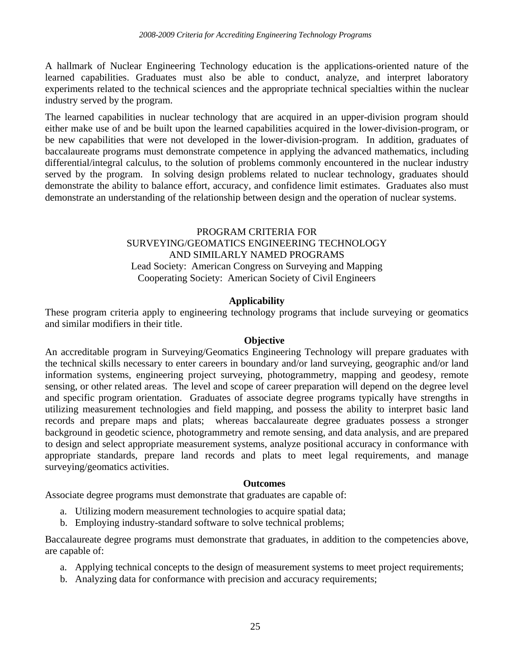<span id="page-28-0"></span>A hallmark of Nuclear Engineering Technology education is the applications-oriented nature of the learned capabilities. Graduates must also be able to conduct, analyze, and interpret laboratory experiments related to the technical sciences and the appropriate technical specialties within the nuclear industry served by the program.

The learned capabilities in nuclear technology that are acquired in an upper-division program should either make use of and be built upon the learned capabilities acquired in the lower-division-program, or be new capabilities that were not developed in the lower-division-program. In addition, graduates of baccalaureate programs must demonstrate competence in applying the advanced mathematics, including differential/integral calculus, to the solution of problems commonly encountered in the nuclear industry served by the program. In solving design problems related to nuclear technology, graduates should demonstrate the ability to balance effort, accuracy, and confidence limit estimates. Graduates also must demonstrate an understanding of the relationship between design and the operation of nuclear systems.

# PROGRAM CRITERIA FOR SURVEYING/GEOMATICS ENGINEERING TECHNOLOGY AND SIMILARLY NAMED PROGRAMS Lead Society: American Congress on Surveying and Mapping Cooperating Society: American Society of Civil Engineers

# **Applicability**

These program criteria apply to engineering technology programs that include surveying or geomatics and similar modifiers in their title.

## **Objective**

An accreditable program in Surveying/Geomatics Engineering Technology will prepare graduates with the technical skills necessary to enter careers in boundary and/or land surveying, geographic and/or land information systems, engineering project surveying, photogrammetry, mapping and geodesy, remote sensing, or other related areas. The level and scope of career preparation will depend on the degree level and specific program orientation. Graduates of associate degree programs typically have strengths in utilizing measurement technologies and field mapping, and possess the ability to interpret basic land records and prepare maps and plats; whereas baccalaureate degree graduates possess a stronger background in geodetic science, photogrammetry and remote sensing, and data analysis, and are prepared to design and select appropriate measurement systems, analyze positional accuracy in conformance with appropriate standards, prepare land records and plats to meet legal requirements, and manage surveying/geomatics activities.

#### **Outcomes**

Associate degree programs must demonstrate that graduates are capable of:

- a. Utilizing modern measurement technologies to acquire spatial data;
- b. Employing industry-standard software to solve technical problems;

Baccalaureate degree programs must demonstrate that graduates, in addition to the competencies above, are capable of:

- a. Applying technical concepts to the design of measurement systems to meet project requirements;
- b. Analyzing data for conformance with precision and accuracy requirements;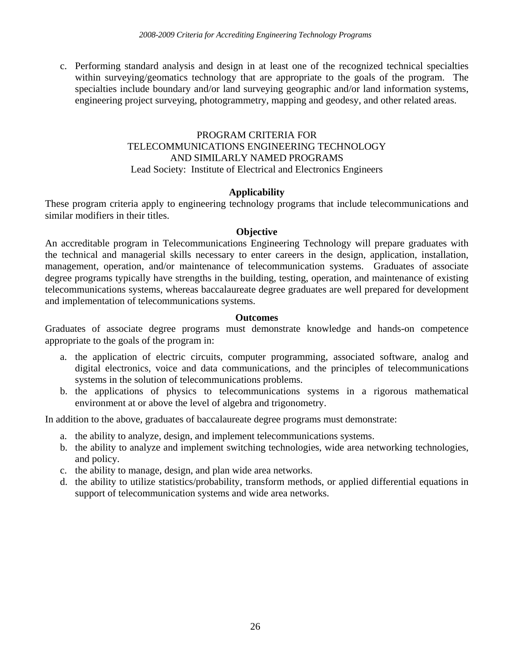<span id="page-29-0"></span>c. Performing standard analysis and design in at least one of the recognized technical specialties within surveying/geomatics technology that are appropriate to the goals of the program. The specialties include boundary and/or land surveying geographic and/or land information systems, engineering project surveying, photogrammetry, mapping and geodesy, and other related areas.

## PROGRAM CRITERIA FOR TELECOMMUNICATIONS ENGINEERING TECHNOLOGY AND SIMILARLY NAMED PROGRAMS Lead Society: Institute of Electrical and Electronics Engineers

## **Applicability**

These program criteria apply to engineering technology programs that include telecommunications and similar modifiers in their titles.

#### **Objective**

An accreditable program in Telecommunications Engineering Technology will prepare graduates with the technical and managerial skills necessary to enter careers in the design, application, installation, management, operation, and/or maintenance of telecommunication systems. Graduates of associate degree programs typically have strengths in the building, testing, operation, and maintenance of existing telecommunications systems, whereas baccalaureate degree graduates are well prepared for development and implementation of telecommunications systems.

#### **Outcomes**

Graduates of associate degree programs must demonstrate knowledge and hands-on competence appropriate to the goals of the program in:

- a. the application of electric circuits, computer programming, associated software, analog and digital electronics, voice and data communications, and the principles of telecommunications systems in the solution of telecommunications problems.
- b. the applications of physics to telecommunications systems in a rigorous mathematical environment at or above the level of algebra and trigonometry.

In addition to the above, graduates of baccalaureate degree programs must demonstrate:

- a. the ability to analyze, design, and implement telecommunications systems.
- b. the ability to analyze and implement switching technologies, wide area networking technologies, and policy.
- c. the ability to manage, design, and plan wide area networks.
- d. the ability to utilize statistics/probability, transform methods, or applied differential equations in support of telecommunication systems and wide area networks.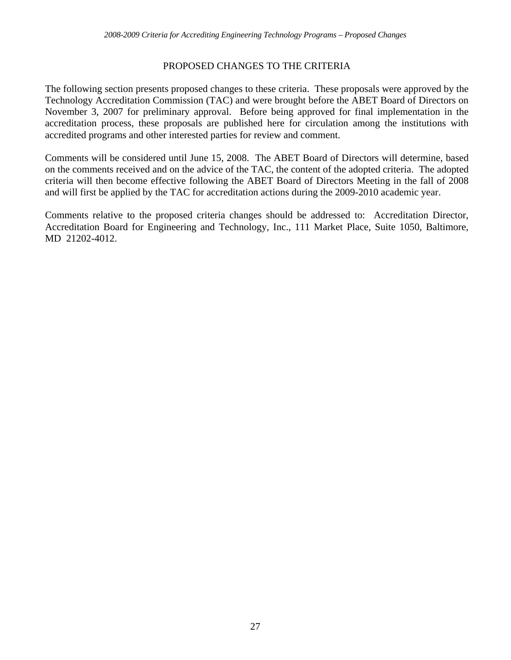# PROPOSED CHANGES TO THE CRITERIA

<span id="page-30-0"></span>The following section presents proposed changes to these criteria. These proposals were approved by the Technology Accreditation Commission (TAC) and were brought before the ABET Board of Directors on November 3, 2007 for preliminary approval. Before being approved for final implementation in the accreditation process, these proposals are published here for circulation among the institutions with accredited programs and other interested parties for review and comment.

Comments will be considered until June 15, 2008. The ABET Board of Directors will determine, based on the comments received and on the advice of the TAC, the content of the adopted criteria. The adopted criteria will then become effective following the ABET Board of Directors Meeting in the fall of 2008 and will first be applied by the TAC for accreditation actions during the 2009-2010 academic year.

Comments relative to the proposed criteria changes should be addressed to: Accreditation Director, Accreditation Board for Engineering and Technology, Inc., 111 Market Place, Suite 1050, Baltimore, MD 21202-4012.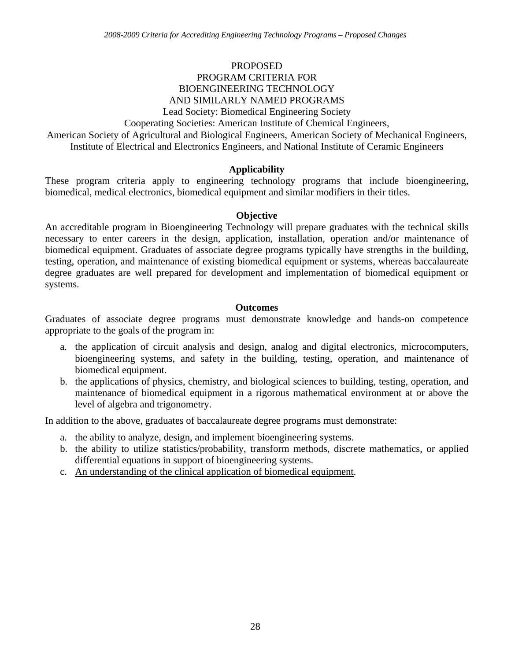# PROPOSED PROGRAM CRITERIA FOR BIOENGINEERING TECHNOLOGY AND SIMILARLY NAMED PROGRAMS

Lead Society: Biomedical Engineering Society

Cooperating Societies: American Institute of Chemical Engineers,

American Society of Agricultural and Biological Engineers, American Society of Mechanical Engineers, Institute of Electrical and Electronics Engineers, and National Institute of Ceramic Engineers

## **Applicability**

These program criteria apply to engineering technology programs that include bioengineering, biomedical, medical electronics, biomedical equipment and similar modifiers in their titles.

## **Objective**

An accreditable program in Bioengineering Technology will prepare graduates with the technical skills necessary to enter careers in the design, application, installation, operation and/or maintenance of biomedical equipment. Graduates of associate degree programs typically have strengths in the building, testing, operation, and maintenance of existing biomedical equipment or systems, whereas baccalaureate degree graduates are well prepared for development and implementation of biomedical equipment or systems.

#### **Outcomes**

Graduates of associate degree programs must demonstrate knowledge and hands-on competence appropriate to the goals of the program in:

- a. the application of circuit analysis and design, analog and digital electronics, microcomputers, bioengineering systems, and safety in the building, testing, operation, and maintenance of biomedical equipment.
- b. the applications of physics, chemistry, and biological sciences to building, testing, operation, and maintenance of biomedical equipment in a rigorous mathematical environment at or above the level of algebra and trigonometry.

In addition to the above, graduates of baccalaureate degree programs must demonstrate:

- a. the ability to analyze, design, and implement bioengineering systems.
- b. the ability to utilize statistics/probability, transform methods, discrete mathematics, or applied differential equations in support of bioengineering systems.
- c. An understanding of the clinical application of biomedical equipment.